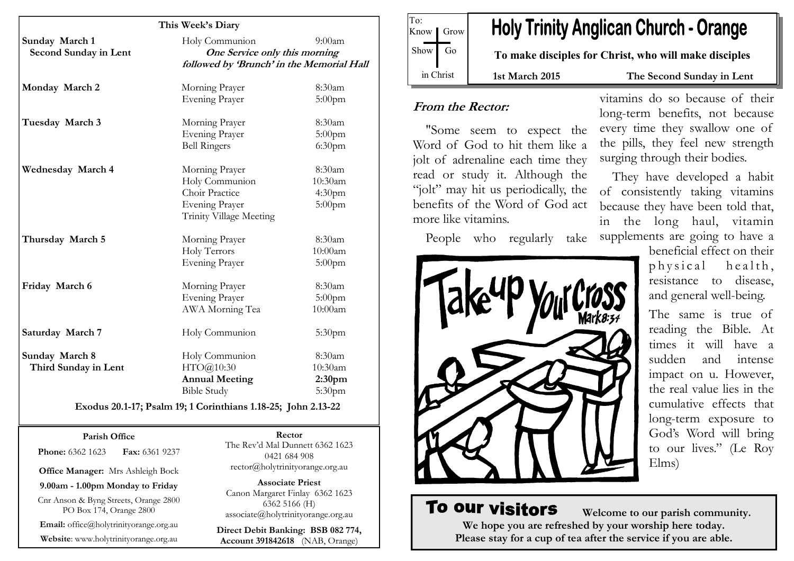|                          | This Week's Diary                                                          |                    |
|--------------------------|----------------------------------------------------------------------------|--------------------|
| Sunday March 1           | Holy Communion                                                             | $9:00a$ m          |
| Second Sunday in Lent    | One Service only this morning<br>followed by 'Brunch' in the Memorial Hall |                    |
| Monday March 2           | Morning Prayer                                                             | 8:30am             |
|                          | <b>Evening Prayer</b>                                                      | $5:00$ pm          |
| Tuesday March 3          | Morning Prayer                                                             | 8:30am             |
|                          | <b>Evening Prayer</b>                                                      | 5:00pm             |
|                          | <b>Bell Ringers</b>                                                        | 6:30 <sub>pm</sub> |
| <b>Wednesday March 4</b> | Morning Prayer                                                             | 8:30am             |
|                          | Holy Communion                                                             | 10:30am            |
|                          | Choir Practice                                                             | 4:30 <sub>pm</sub> |
|                          | <b>Evening Prayer</b>                                                      | 5:00pm             |
|                          | Trinity Village Meeting                                                    |                    |
| Thursday March 5         | Morning Prayer                                                             | 8:30am             |
|                          | Holy Terrors                                                               | 10:00am            |
|                          | <b>Evening Prayer</b>                                                      | $5:00$ pm          |
| Friday March 6           | Morning Prayer                                                             | 8:30am             |
|                          | <b>Evening Prayer</b>                                                      | 5:00pm             |
|                          | AWA Morning Tea                                                            | 10:00am            |
| Saturday March 7         | Holy Communion                                                             | 5:30pm             |
| Sunday March 8           | Holy Communion                                                             | 8:30am             |
| Third Sunday in Lent     | HTO@10:30                                                                  | 10:30am            |
|                          | <b>Annual Meeting</b>                                                      | 2:30 <sub>pm</sub> |
|                          | <b>Bible Study</b>                                                         | 5:30pm             |

#### Parish Office

**Phone:** 6362 1623 **Fax:** 6361 9237

Office Manager: Mrs Ashleigh Bock

9.00am - 1.00pm Monday to Friday

Cnr Anson & Byng Streets, Orange 2800 PO Box 174, Orange 2800

Email: office@holytrinityorange.org.au

Website: www.holytrinityorange.org.au

Rector The Rev'd Mal Dunnett 6362 1623 0421 684 908 rector@holytrinityorange.org.au

Associate Priest Canon Margaret Finlay 6362 1623 6362 5166 (H) associate@holytrinityorange.org.au

Direct Debit Banking: BSB 082 774, Account 391842618 (NAB, Orange)

To: Know *I* Grow  $Show$  Go in Christ

# **Holy Trinity Anglican Church - Orange**

To make disciples for Christ, who will make disciples

#### 1st March 2015 The Second Sunday in Lent

### From the Rector:

"Some seem to expect the Word of God to hit them like a jolt of adrenaline each time they read or study it. Although the "jolt" may hit us periodically, the benefits of the Word of God act more like vitamins.

People who regularly take



vitamins do so because of their long-term benefits, not because every time they swallow one of the pills, they feel new strength surging through their bodies.

They have developed a habit of consistently taking vitamins because they have been told that, in the long haul, vitamin supplements are going to have a

beneficial effect on their p h y s i c a l h e a l t h ,<br>resistance to disease, and general well-being.

The same is true of reading the Bible. At times it will have a sudden and intense impact on u. However, the real value lies in the cumulative effects that long-term exposure to God's Word will bring to our lives." (Le Roy Elms)

# To our visitors

 Welcome to our parish community. We hope you are refreshed by your worship here today. Please stay for a cup of tea after the service if you are able.